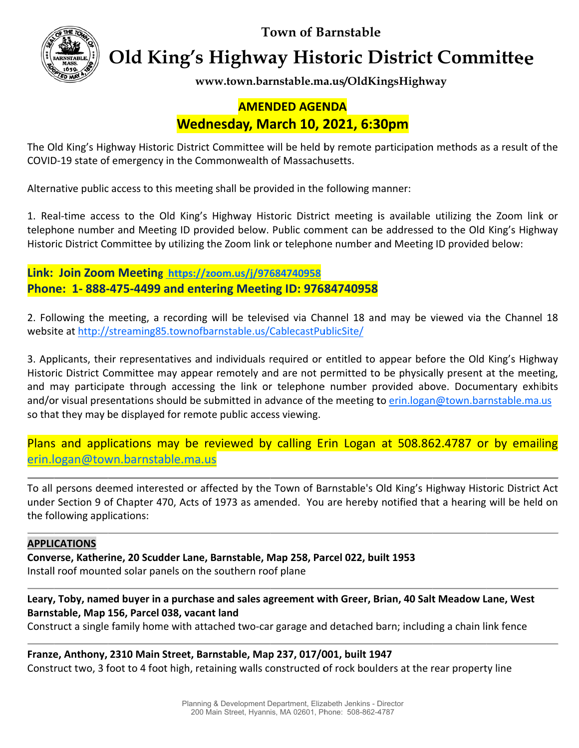**Town of Barnstable** 



**Old King's Highway Historic District Committee** 

www.town.barnstable.ma.us/OldKingsHighway

# **AMENDED AGENDA** Wednesday, March 10, 2021, 6:30pm

The Old King's Highway Historic District Committee will be held by remote participation methods as a result of the COVID-19 state of emergency in the Commonwealth of Massachusetts.

Alternative public access to this meeting shall be provided in the following manner:

1. Real-time access to the Old King's Highway Historic District meeting is available utilizing the Zoom link or telephone number and Meeting ID provided below. Public comment can be addressed to the Old King's Highway Historic District Committee by utilizing the Zoom link or telephone number and Meeting ID provided below:

Link: Join Zoom Meeting https://zoom.us/j/97684740958 Phone: 1-888-475-4499 and entering Meeting ID: 97684740958

2. Following the meeting, a recording will be televised via Channel 18 and may be viewed via the Channel 18 website at http://streaming85.townofbarnstable.us/CablecastPublicSite/

3. Applicants, their representatives and individuals required or entitled to appear before the Old King's Highway Historic District Committee may appear remotely and are not permitted to be physically present at the meeting, and may participate through accessing the link or telephone number provided above. Documentary exhibits and/or visual presentations should be submitted in advance of the meeting to erin.logan@town.barnstable.ma.us so that they may be displayed for remote public access viewing.

Plans and applications may be reviewed by calling Erin Logan at 508.862.4787 or by emailing erin.logan@town.barnstable.ma.us

To all persons deemed interested or affected by the Town of Barnstable's Old King's Highway Historic District Act under Section 9 of Chapter 470, Acts of 1973 as amended. You are hereby notified that a hearing will be held on the following applications:

## **APPLICATIONS**

Converse, Katherine, 20 Scudder Lane, Barnstable, Map 258, Parcel 022, built 1953 Install roof mounted solar panels on the southern roof plane

## Leary, Toby, named buyer in a purchase and sales agreement with Greer, Brian, 40 Salt Meadow Lane, West Barnstable, Map 156, Parcel 038, vacant land

Construct a single family home with attached two-car garage and detached barn; including a chain link fence

Franze, Anthony, 2310 Main Street, Barnstable, Map 237, 017/001, built 1947 Construct two, 3 foot to 4 foot high, retaining walls constructed of rock boulders at the rear property line